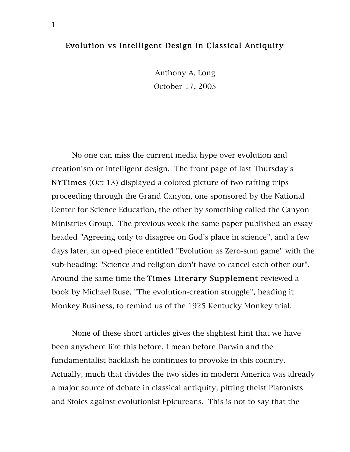## Evolution vs Intelligent Design in Classical Antiquity

Anthony A. Long October 17, 2005

No one can miss the current media hype over evolution and creationism or intelligent design. The front page of last Thursday's NYTimes (Oct 13) displayed a colored picture of two rafting trips proceeding through the Grand Canyon, one sponsored by the National Center for Science Education, the other by something called the Canyon Ministries Group. The previous week the same paper published an essay headed "Agreeing only to disagree on God's place in science", and a few days later, an op-ed piece entitled "Evolution as Zero-sum game" with the sub-heading: "Science and religion don't have to cancel each other out". Around the same time the Times Literary Supplement reviewed a book by Michael Ruse, "The evolution-creation struggle", heading it Monkey Business, to remind us of the 1925 Kentucky Monkey trial.

None of these short articles gives the slightest hint that we have been anywhere like this before, I mean before Darwin and the fundamentalist backlash he continues to provoke in this country. Actually, much that divides the two sides in modern America was already a major source of debate in classical antiquity, pitting theist Platonists and Stoics against evolutionist Epicureans. This is not to say that the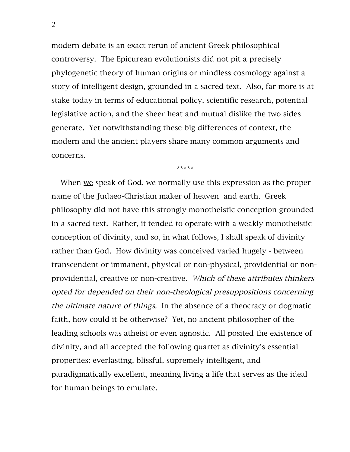modern debate is an exact rerun of ancient Greek philosophical controversy. The Epicurean evolutionists did not pit a precisely phylogenetic theory of human origins or mindless cosmology against a story of intelligent design, grounded in a sacred text. Also, far more is at stake today in terms of educational policy, scientific research, potential legislative action, and the sheer heat and mutual dislike the two sides generate. Yet notwithstanding these big differences of context, the modern and the ancient players share many common arguments and concerns.

\*\*\*\*\*

When we speak of God, we normally use this expression as the proper name of the Judaeo-Christian maker of heaven and earth. Greek philosophy did not have this strongly monotheistic conception grounded in a sacred text. Rather, it tended to operate with a weakly monotheistic conception of divinity, and so, in what follows, I shall speak of divinity rather than God. How divinity was conceived varied hugely - between transcendent or immanent, physical or non-physical, providential or nonprovidential, creative or non-creative. Which of these attributes thinkers opted for depended on their non-theological presuppositions concerning the ultimate nature of things. In the absence of a theocracy or dogmatic faith, how could it be otherwise? Yet, no ancient philosopher of the leading schools was atheist or even agnostic. All posited the existence of divinity, and all accepted the following quartet as divinity's essential properties: everlasting, blissful, supremely intelligent, and paradigmatically excellent, meaning living a life that serves as the ideal for human beings to emulate.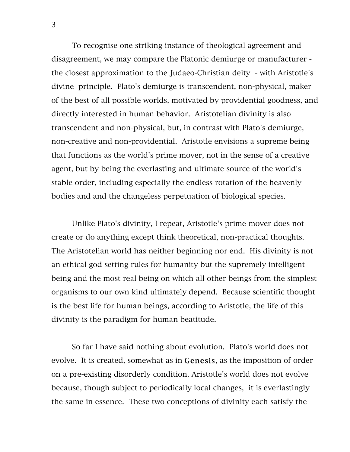To recognise one striking instance of theological agreement and disagreement, we may compare the Platonic demiurge or manufacturer the closest approximation to the Judaeo-Christian deity - with Aristotle's divine principle. Plato's demiurge is transcendent, non-physical, maker of the best of all possible worlds, motivated by providential goodness, and directly interested in human behavior. Aristotelian divinity is also transcendent and non-physical, but, in contrast with Plato's demiurge, non-creative and non-providential. Aristotle envisions a supreme being that functions as the world's prime mover, not in the sense of a creative agent, but by being the everlasting and ultimate source of the world's stable order, including especially the endless rotation of the heavenly bodies and and the changeless perpetuation of biological species.

Unlike Plato's divinity, I repeat, Aristotle's prime mover does not create or do anything except think theoretical, non-practical thoughts. The Aristotelian world has neither beginning nor end. His divinity is not an ethical god setting rules for humanity but the supremely intelligent being and the most real being on which all other beings from the simplest organisms to our own kind ultimately depend. Because scientific thought is the best life for human beings, according to Aristotle, the life of this divinity is the paradigm for human beatitude.

So far I have said nothing about evolution. Plato's world does not evolve. It is created, somewhat as in Genesis, as the imposition of order on a pre-existing disorderly condition. Aristotle's world does not evolve because, though subject to periodically local changes, it is everlastingly the same in essence. These two conceptions of divinity each satisfy the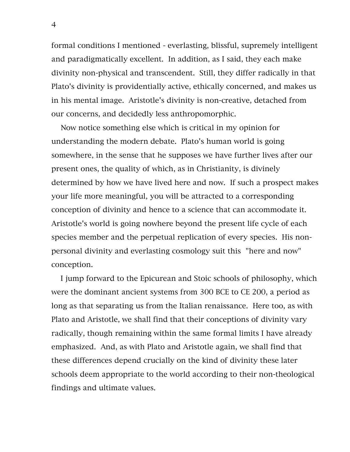formal conditions I mentioned - everlasting, blissful, supremely intelligent and paradigmatically excellent. In addition, as I said, they each make divinity non-physical and transcendent. Still, they differ radically in that Plato's divinity is providentially active, ethically concerned, and makes us in his mental image. Aristotle's divinity is non-creative, detached from our concerns, and decidedly less anthropomorphic.

Now notice something else which is critical in my opinion for understanding the modern debate. Plato's human world is going somewhere, in the sense that he supposes we have further lives after our present ones, the quality of which, as in Christianity, is divinely determined by how we have lived here and now. If such a prospect makes your life more meaningful, you will be attracted to a corresponding conception of divinity and hence to a science that can accommodate it. Aristotle's world is going nowhere beyond the present life cycle of each species member and the perpetual replication of every species. His nonpersonal divinity and everlasting cosmology suit this "here and now" conception.

I jump forward to the Epicurean and Stoic schools of philosophy, which were the dominant ancient systems from 300 BCE to CE 200, a period as long as that separating us from the Italian renaissance. Here too, as with Plato and Aristotle, we shall find that their conceptions of divinity vary radically, though remaining within the same formal limits I have already emphasized. And, as with Plato and Aristotle again, we shall find that these differences depend crucially on the kind of divinity these later schools deem appropriate to the world according to their non-theological findings and ultimate values.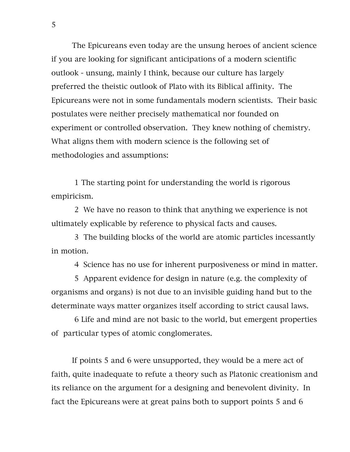The Epicureans even today are the unsung heroes of ancient science if you are looking for significant anticipations of a modern scientific outlook - unsung, mainly I think, because our culture has largely preferred the theistic outlook of Plato with its Biblical affinity. The Epicureans were not in some fundamentals modern scientists. Their basic postulates were neither precisely mathematical nor founded on experiment or controlled observation. They knew nothing of chemistry. What aligns them with modern science is the following set of methodologies and assumptions:

1 The starting point for understanding the world is rigorous empiricism.

2 We have no reason to think that anything we experience is not ultimately explicable by reference to physical facts and causes.

3 The building blocks of the world are atomic particles incessantly in motion.

4 Science has no use for inherent purposiveness or mind in matter.

5 Apparent evidence for design in nature (e.g. the complexity of organisms and organs) is not due to an invisible guiding hand but to the determinate ways matter organizes itself according to strict causal laws.

6 Life and mind are not basic to the world, but emergent properties of particular types of atomic conglomerates.

If points 5 and 6 were unsupported, they would be a mere act of faith, quite inadequate to refute a theory such as Platonic creationism and its reliance on the argument for a designing and benevolent divinity. In fact the Epicureans were at great pains both to support points 5 and 6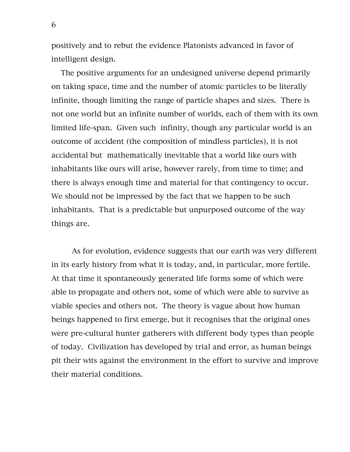positively and to rebut the evidence Platonists advanced in favor of intelligent design.

The positive arguments for an undesigned universe depend primarily on taking space, time and the number of atomic particles to be literally infinite, though limiting the range of particle shapes and sizes. There is not one world but an infinite number of worlds, each of them with its own limited life-span. Given such infinity, though any particular world is an outcome of accident (the composition of mindless particles), it is not accidental but mathematically inevitable that a world like ours with inhabitants like ours will arise, however rarely, from time to time; and there is always enough time and material for that contingency to occur. We should not be impressed by the fact that we happen to be such inhabitants. That is a predictable but unpurposed outcome of the way things are.

As for evolution, evidence suggests that our earth was very different in its early history from what it is today, and, in particular, more fertile. At that time it spontaneously generated life forms some of which were able to propagate and others not, some of which were able to survive as viable species and others not. The theory is vague about how human beings happened to first emerge, but it recognises that the original ones were pre-cultural hunter gatherers with different body types than people of today. Civilization has developed by trial and error, as human beings pit their wits against the environment in the effort to survive and improve their material conditions.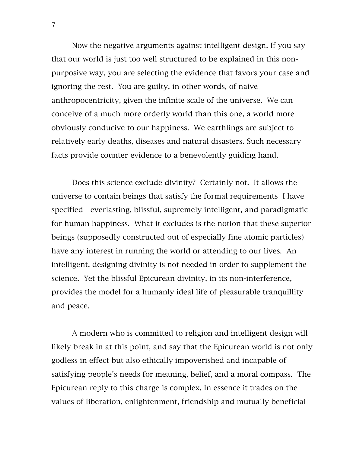Now the negative arguments against intelligent design. If you say that our world is just too well structured to be explained in this nonpurposive way, you are selecting the evidence that favors your case and ignoring the rest. You are guilty, in other words, of naive anthropocentricity, given the infinite scale of the universe. We can conceive of a much more orderly world than this one, a world more obviously conducive to our happiness. We earthlings are subject to relatively early deaths, diseases and natural disasters. Such necessary facts provide counter evidence to a benevolently guiding hand.

Does this science exclude divinity? Certainly not. It allows the universe to contain beings that satisfy the formal requirements I have specified - everlasting, blissful, supremely intelligent, and paradigmatic for human happiness. What it excludes is the notion that these superior beings (supposedly constructed out of especially fine atomic particles) have any interest in running the world or attending to our lives. An intelligent, designing divinity is not needed in order to supplement the science. Yet the blissful Epicurean divinity, in its non-interference, provides the model for a humanly ideal life of pleasurable tranquillity and peace.

A modern who is committed to religion and intelligent design will likely break in at this point, and say that the Epicurean world is not only godless in effect but also ethically impoverished and incapable of satisfying people's needs for meaning, belief, and a moral compass. The Epicurean reply to this charge is complex. In essence it trades on the values of liberation, enlightenment, friendship and mutually beneficial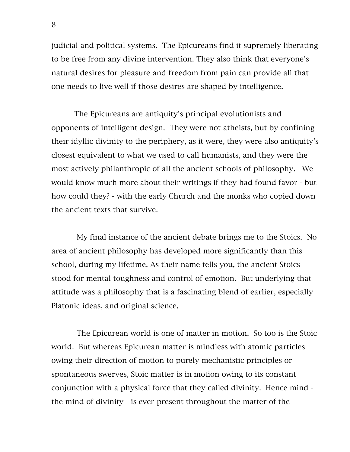judicial and political systems. The Epicureans find it supremely liberating to be free from any divine intervention. They also think that everyone's natural desires for pleasure and freedom from pain can provide all that one needs to live well if those desires are shaped by intelligence.

The Epicureans are antiquity's principal evolutionists and opponents of intelligent design. They were not atheists, but by confining their idyllic divinity to the periphery, as it were, they were also antiquity's closest equivalent to what we used to call humanists, and they were the most actively philanthropic of all the ancient schools of philosophy. We would know much more about their writings if they had found favor - but how could they? - with the early Church and the monks who copied down the ancient texts that survive.

My final instance of the ancient debate brings me to the Stoics. No area of ancient philosophy has developed more significantly than this school, during my lifetime. As their name tells you, the ancient Stoics stood for mental toughness and control of emotion. But underlying that attitude was a philosophy that is a fascinating blend of earlier, especially Platonic ideas, and original science.

The Epicurean world is one of matter in motion. So too is the Stoic world. But whereas Epicurean matter is mindless with atomic particles owing their direction of motion to purely mechanistic principles or spontaneous swerves, Stoic matter is in motion owing to its constant conjunction with a physical force that they called divinity. Hence mind the mind of divinity - is ever-present throughout the matter of the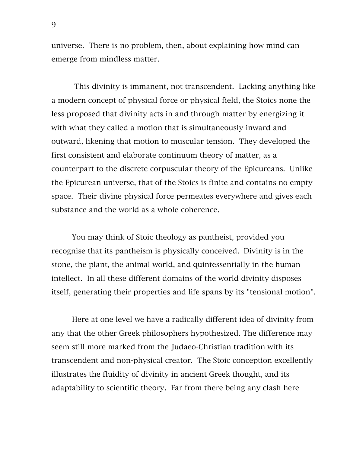universe. There is no problem, then, about explaining how mind can emerge from mindless matter.

This divinity is immanent, not transcendent. Lacking anything like a modern concept of physical force or physical field, the Stoics none the less proposed that divinity acts in and through matter by energizing it with what they called a motion that is simultaneously inward and outward, likening that motion to muscular tension. They developed the first consistent and elaborate continuum theory of matter, as a counterpart to the discrete corpuscular theory of the Epicureans. Unlike the Epicurean universe, that of the Stoics is finite and contains no empty space. Their divine physical force permeates everywhere and gives each substance and the world as a whole coherence.

You may think of Stoic theology as pantheist, provided you recognise that its pantheism is physically conceived. Divinity is in the stone, the plant, the animal world, and quintessentially in the human intellect. In all these different domains of the world divinity disposes itself, generating their properties and life spans by its "tensional motion".

Here at one level we have a radically different idea of divinity from any that the other Greek philosophers hypothesized. The difference may seem still more marked from the Judaeo-Christian tradition with its transcendent and non-physical creator. The Stoic conception excellently illustrates the fluidity of divinity in ancient Greek thought, and its adaptability to scientific theory. Far from there being any clash here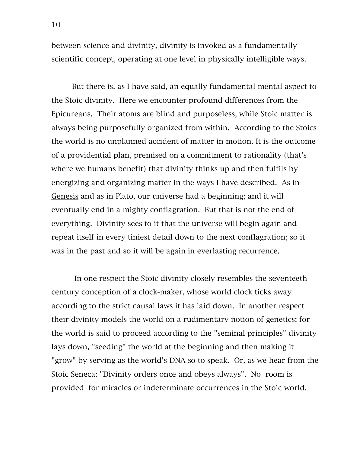between science and divinity, divinity is invoked as a fundamentally scientific concept, operating at one level in physically intelligible ways.

But there is, as I have said, an equally fundamental mental aspect to the Stoic divinity. Here we encounter profound differences from the Epicureans. Their atoms are blind and purposeless, while Stoic matter is always being purposefully organized from within. According to the Stoics the world is no unplanned accident of matter in motion. It is the outcome of a providential plan, premised on a commitment to rationality (that's where we humans benefit) that divinity thinks up and then fulfils by energizing and organizing matter in the ways I have described. As in Genesis and as in Plato, our universe had a beginning; and it will eventually end in a mighty conflagration. But that is not the end of everything. Divinity sees to it that the universe will begin again and repeat itself in every tiniest detail down to the next conflagration; so it was in the past and so it will be again in everlasting recurrence.

In one respect the Stoic divinity closely resembles the seventeeth century conception of a clock-maker, whose world clock ticks away according to the strict causal laws it has laid down. In another respect their divinity models the world on a rudimentary notion of genetics; for the world is said to proceed according to the "seminal principles" divinity lays down, "seeding" the world at the beginning and then making it "grow" by serving as the world's DNA so to speak. Or, as we hear from the Stoic Seneca: "Divinity orders once and obeys always". No room is provided for miracles or indeterminate occurrences in the Stoic world.